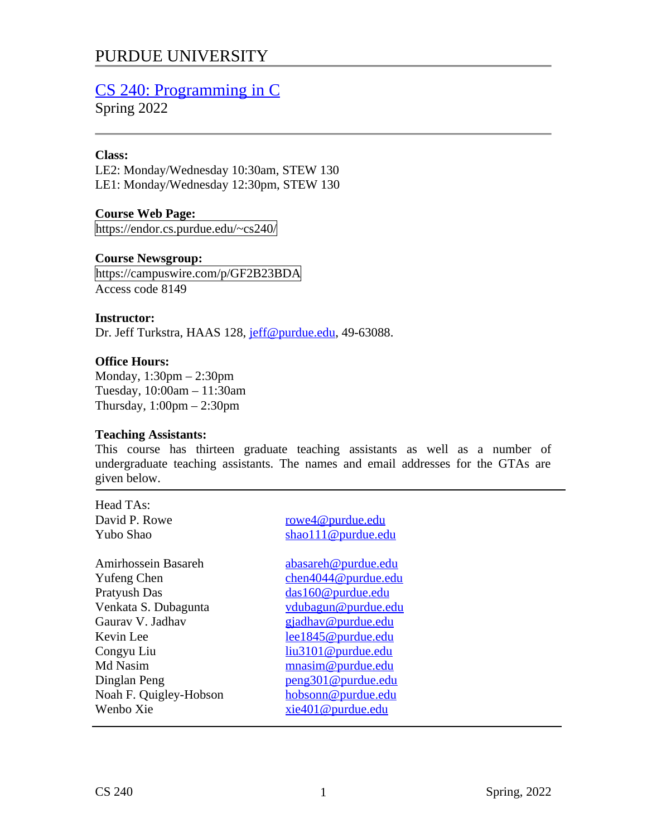# PURDUE UNIVERSITY

# [CS 240: Programming in C](https://endor.cs.purdue.edu/~cs240/)

Spring 2022

#### **Class:**

LE2: Monday/Wednesday 10:30am, STEW 130 LE1: Monday/Wednesday 12:30pm, STEW 130

**Course Web Page:** https://endor.cs.purdue.edu/~cs240/

## **Course Newsgroup:**

https://campuswire.com/p/GF2B23BDA Access code 8149

#### **Instructor:**

Dr. Jeff Turkstra, HAAS 128, jeff@purdue.edu, 49-63088.

## **Office Hours:**

Monday, 1:30pm – 2:30pm Tuesday, 10:00am – 11:30am Thursday,  $1:00$ pm  $-2:30$ pm

#### **Teaching Assistants:**

This course has thirteen graduate teaching assistants as well as a number of undergraduate teaching assistants. The names and email addresses for the GTAs are given below.

Head TAs:

David P. Rowe **[rowe4@purdue.edu](mailto:rowe4@purdue.edu)**<br>Pubo Shao shao 111@purdue.edu

Amirhossein Basareh abasareh abasareh abasareh abasareh abasareh abasareh abasareh abasareh abasareh abasareh <br>Karena abasareh abasareh abasareh abasareh abasareh abasareh abasareh abasareh abasar karena abasar abasar aba Yufeng Chen [chen4044@purdue.edu](mailto:chen4044@purdue.edu) Pratyush Das [das160@purdue.edu](mailto:das160@purdue.edu) Venkata S. Dubagunta [vdubagun@purdue.edu](mailto:vdubagun@purdue.edu) Gaurav V. Jadhav [gjadhav@purdue.edu](mailto:gjadhav@purdue.edu) Kevin Lee [lee1845@purdue.edu](mailto:lee1845@purdue.edu) Md Nasim masim musim musim masim and musim masim and musim mention and musim masim and musim mention and musim<br>The musim musim musim mention of the musim musim musim musim musim musim musim musim musim musim musim musim m<br> Noah F. Quigley-Hobson<br>Wenbo Xie

[liu3101@purdue.edu](mailto:liu3101@purdue.edu) [peng301@purdue.edu](mailto:peng301@purdue.edu)<br>hobsonn@purdue.edu [xie401@purdue.edu](mailto:xie401@purdue.edu)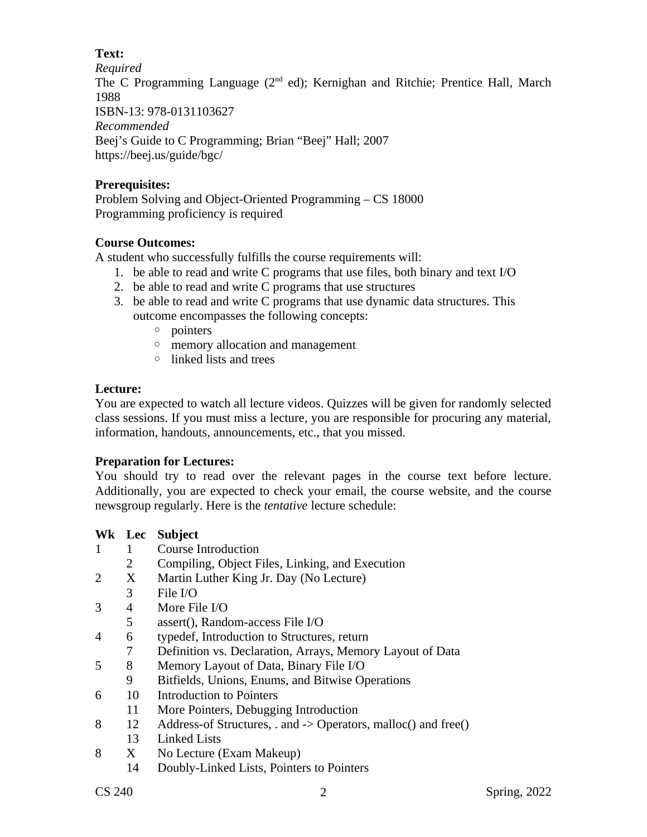## **Text:**

*Required*

The C Programming Language  $(2^{nd}$  ed); Kernighan and Ritchie; Prentice Hall, March 1988

ISBN-13: 978-0131103627

*Recommended* Beej's Guide to C Programming; Brian "Beej" Hall; 2007 https://beej.us/guide/bgc/

# **Prerequisites:**

Problem Solving and Object-Oriented Programming – CS 18000 Programming proficiency is required

# **Course Outcomes:**

A student who successfully fulfills the course requirements will:

- 1. be able to read and write C programs that use files, both binary and text I/O
- 2. be able to read and write C programs that use structures
- 3. be able to read and write C programs that use dynamic data structures. This outcome encompasses the following concepts:
	- pointers
	- memory allocation and management
	- linked lists and trees

# **Lecture:**

You are expected to watch all lecture videos. Quizzes will be given for randomly selected class sessions. If you must miss a lecture, you are responsible for procuring any material, information, handouts, announcements, etc., that you missed.

# **Preparation for Lectures:**

You should try to read over the relevant pages in the course text before lecture. Additionally, you are expected to check your email, the course website, and the course newsgroup regularly. Here is the *tentative* lecture schedule:

# **Wk Lec Subject**

- 1 1 Course Introduction
	- 2 Compiling, Object Files, Linking, and Execution
- 2 X Martin Luther King Jr. Day (No Lecture)
	- 3 File I/O<br>4 More Fi
- 3 4 More File I/O<br>5 assert(), Rando
- assert(), Random-access File I/O
- 4 6 typedef, Introduction to Structures, return
	- 7 Definition vs. Declaration, Arrays, Memory Layout of Data
- 5 8 Memory Layout of Data, Binary File I/O<br>9 Bitfields, Unions, Enums, and Bitwise Or
	- Bitfields, Unions, Enums, and Bitwise Operations
- 6 10 Introduction to Pointers
- 11 More Pointers, Debugging Introduction
- 8 12 Address-of Structures, . and -> Operators, malloc() and free()
	- 13 Linked Lists<br>X No Lecture (1)
- 8 X No Lecture (Exam Makeup)
	- 14 Doubly-Linked Lists, Pointers to Pointers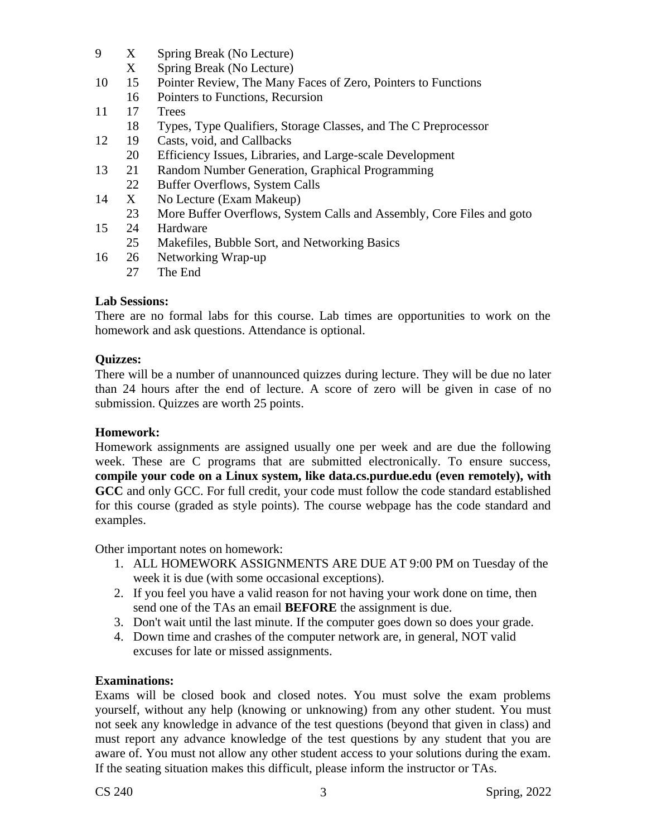- 9 X Spring Break (No Lecture)
	- X Spring Break (No Lecture)
- 10 15 Pointer Review, The Many Faces of Zero, Pointers to Functions
- 16 Pointers to Functions, Recursion
- 11 17 Trees
	- 18 Types, Type Qualifiers, Storage Classes, and The C Preprocessor
- 12 19 Casts, void, and Callbacks
- 20 Efficiency Issues, Libraries, and Large-scale Development
- 13 21 Random Number Generation, Graphical Programming 22 Buffer Overflows, System Calls
- 14 X No Lecture (Exam Makeup)
	- 23 More Buffer Overflows, System Calls and Assembly, Core Files and goto
- 15 24 Hardware
	- 25 Makefiles, Bubble Sort, and Networking Basics
- 16 26 Networking Wrap-up
	- 27 The End

## **Lab Sessions:**

There are no formal labs for this course. Lab times are opportunities to work on the homework and ask questions. Attendance is optional.

#### **Quizzes:**

There will be a number of unannounced quizzes during lecture. They will be due no later than 24 hours after the end of lecture. A score of zero will be given in case of no submission. Quizzes are worth 25 points.

## **Homework:**

Homework assignments are assigned usually one per week and are due the following week. These are C programs that are submitted electronically. To ensure success, **compile your code on a Linux system, like data.cs.purdue.edu (even remotely), with GCC** and only GCC. For full credit, your code must follow the code standard established for this course (graded as style points). The course webpage has the code standard and examples.

Other important notes on homework:

- 1. ALL HOMEWORK ASSIGNMENTS ARE DUE AT 9:00 PM on Tuesday of the week it is due (with some occasional exceptions).
- 2. If you feel you have a valid reason for not having your work done on time, then send one of the TAs an email **BEFORE** the assignment is due.
- 3. Don't wait until the last minute. If the computer goes down so does your grade.
- 4. Down time and crashes of the computer network are, in general, NOT valid excuses for late or missed assignments.

## **Examinations:**

Exams will be closed book and closed notes. You must solve the exam problems yourself, without any help (knowing or unknowing) from any other student. You must not seek any knowledge in advance of the test questions (beyond that given in class) and must report any advance knowledge of the test questions by any student that you are aware of. You must not allow any other student access to your solutions during the exam. If the seating situation makes this difficult, please inform the instructor or TAs.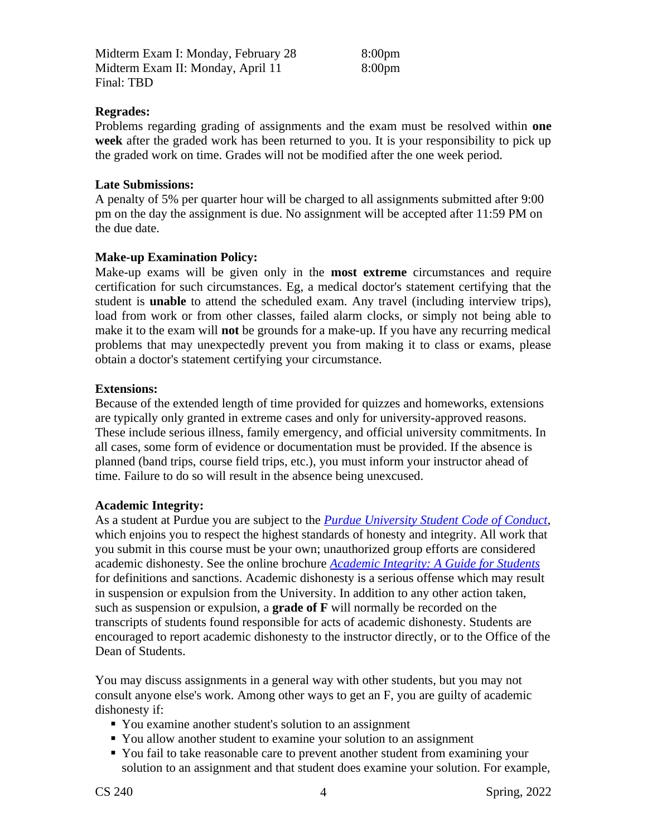Midterm Exam I: Monday, February 28 8:00pm Midterm Exam II: Monday, April 11 8:00pm Final: TBD

#### **Regrades:**

Problems regarding grading of assignments and the exam must be resolved within **one week** after the graded work has been returned to you. It is your responsibility to pick up the graded work on time. Grades will not be modified after the one week period.

#### **Late Submissions:**

A penalty of 5% per quarter hour will be charged to all assignments submitted after 9:00 pm on the day the assignment is due. No assignment will be accepted after 11:59 PM on the due date.

#### **Make-up Examination Policy:**

Make-up exams will be given only in the **most extreme** circumstances and require certification for such circumstances. Eg, a medical doctor's statement certifying that the student is **unable** to attend the scheduled exam. Any travel (including interview trips), load from work or from other classes, failed alarm clocks, or simply not being able to make it to the exam will **not** be grounds for a make-up. If you have any recurring medical problems that may unexpectedly prevent you from making it to class or exams, please obtain a doctor's statement certifying your circumstance.

#### **Extensions:**

Because of the extended length of time provided for quizzes and homeworks, extensions are typically only granted in extreme cases and only for university-approved reasons. These include serious illness, family emergency, and official university commitments. In all cases, some form of evidence or documentation must be provided. If the absence is planned (band trips, course field trips, etc.), you must inform your instructor ahead of time. Failure to do so will result in the absence being unexcused.

#### **Academic Integrity:**

As a student at Purdue you are subject to the *[Purdue University Student Code of Conduct](http://www.purdue.edu/studentregulations/student_conduct/index.html)*, which enjoins you to respect the highest standards of honesty and integrity. All work that you submit in this course must be your own; unauthorized group efforts are considered academic dishonesty. See the online brochure *[Academic Integrity: A Guide for Students](http://www.purdue.edu/odos/osrr/academic-integrity/index.html)* for definitions and sanctions. Academic dishonesty is a serious offense which may result in suspension or expulsion from the University. In addition to any other action taken, such as suspension or expulsion, a **grade of F** will normally be recorded on the transcripts of students found responsible for acts of academic dishonesty. Students are encouraged to report academic dishonesty to the instructor directly, or to the Office of the Dean of Students.

You may discuss assignments in a general way with other students, but you may not consult anyone else's work. Among other ways to get an F, you are guilty of academic dishonesty if:

- You examine another student's solution to an assignment
- You allow another student to examine your solution to an assignment
- You fail to take reasonable care to prevent another student from examining your solution to an assignment and that student does examine your solution. For example,